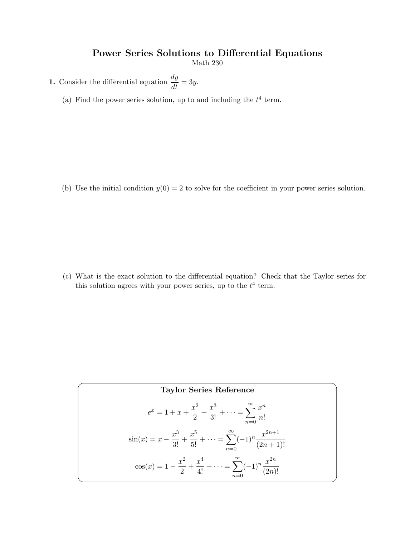## Power Series Solutions to Differential Equations

Math 230

**1.** Consider the differential equation  $\frac{dy}{dt} = 3y$ .

(a) Find the power series solution, up to and including the  $t^4$  term.

(b) Use the initial condition  $y(0) = 2$  to solve for the coefficient in your power series solution.

(c) What is the exact solution to the differential equation? Check that the Taylor series for this solution agrees with your power series, up to the  $t^4$  term.

Taylor Series Reference  
\n
$$
e^{x} = 1 + x + \frac{x^{2}}{2} + \frac{x^{3}}{3!} + \dots = \sum_{n=0}^{\infty} \frac{x^{n}}{n!}
$$
\n
$$
\sin(x) = x - \frac{x^{3}}{3!} + \frac{x^{5}}{5!} + \dots = \sum_{n=0}^{\infty} (-1)^{n} \frac{x^{2n+1}}{(2n+1)!}
$$
\n
$$
\cos(x) = 1 - \frac{x^{2}}{2} + \frac{x^{4}}{4!} + \dots = \sum_{n=0}^{\infty} (-1)^{n} \frac{x^{2n}}{(2n)!}
$$